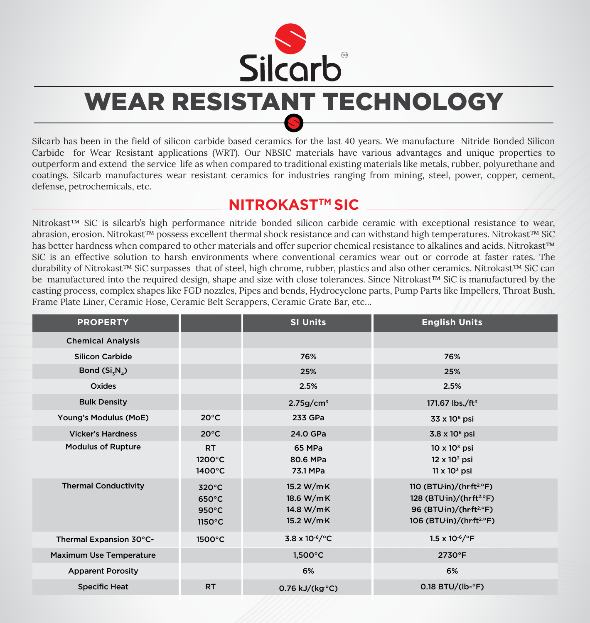# Silcarb  $\bigcirc$ WEAR RESISTANT TECHNOLOGY

Silcarb has been in the field of silicon carbide based ceramics for the last 40 years. We manufacture Nitride Bonded Silicon Carbide for Wear Resistant applications (WRT). Our NBSIC materials have various advantages and unique properties to outperform and extend the service life as when compared to traditional existing materials like metals, rubber, polyurethane and coatings. Silcarb manufactures wear resistant ceramics for industries ranging from mining, steel, power, copper, cement, defense, petrochemicals, etc.

#### **NITROKASTTM SIC**

Nitrokast™ SiC is silcarb's high performance nitride bonded silicon carbide ceramic with exceptional resistance to wear, abrasion, erosion. Nitrokast™ possess excellent thermal shock resistance and can withstand high temperatures. Nitrokast™ SiC has better hardness when compared to other materials and offer superior chemical resistance to alkalines and acids. Nitrokast™ SiC is an effective solution to harsh environments where conventional ceramics wear out or corrode at faster rates. The durability of Nitrokast™ SiC surpasses that of steel, high chrome, rubber, plastics and also other ceramics. Nitrokast™ SiC can be manufactured into the required design, shape and size with close tolerances. Since Nitrokast™ SiC is manufactured by the casting process, complex shapes like FGD nozzles, Pipes and bends, Hydrocyclone parts, Pump Parts like Impellers, Throat Bush, Frame Plate Liner, Ceramic Hose, Ceramic Belt Scrappers, Ceramic Grate Bar, etc…

| <b>PROPERTY</b>                |                                                                 | <b>SI Units</b>                                      | <b>English Units</b>                                                                                                                |
|--------------------------------|-----------------------------------------------------------------|------------------------------------------------------|-------------------------------------------------------------------------------------------------------------------------------------|
| <b>Chemical Analysis</b>       |                                                                 |                                                      |                                                                                                                                     |
| <b>Silicon Carbide</b>         |                                                                 | 76%                                                  | 76%                                                                                                                                 |
| Bond $(Si_xN_a)$               |                                                                 | 25%                                                  | 25%                                                                                                                                 |
| <b>Oxides</b>                  |                                                                 | 2.5%                                                 | 2.5%                                                                                                                                |
| <b>Bulk Density</b>            |                                                                 | 2.75g/cm <sup>3</sup>                                | 171.67 lbs./ft <sup>3</sup>                                                                                                         |
| Young's Modulus (MoE)          | $20^{\circ}$ C                                                  | 233 GPa                                              | 33 x 10 <sup>6</sup> psi                                                                                                            |
| <b>Vicker's Hardness</b>       | $20^{\circ}$ C                                                  | 24.0 GPa                                             | $3.8 \times 10^6$ psi                                                                                                               |
| <b>Modulus of Rupture</b>      | RT.<br>1200°C<br>$1400^{\circ}$ C                               | 65 MPa<br>80.6 MPa<br>73.1 MPa                       | $10 \times 10^{3}$ psi<br>$12 \times 10^3$ psi<br>$11 \times 10^3$ psi                                                              |
| <b>Thermal Conductivity</b>    | $320^{\circ}$ C<br>650°C<br>$950^{\circ}$ C<br>$1150^{\circ}$ C | 15.2 W/m K<br>18.6 W/m K<br>14.8 W/m K<br>15.2 W/m K | 110 (BTU in)/( $hrft^{2.0}F$ )<br>128 (BTU in)/( $hrft^{2.0}F$ )<br>96 (BTU in)/( $hrft^{2.0}F$ )<br>106 (BTU in)/( $hrft^{2.0}F$ ) |
| Thermal Expansion 30°C-        | $1500^{\circ}$ C                                                | 3.8 x 10 $\cdot$ 6/ $\cdot$ C                        | $1.5 \times 10^{-6}$ <sup>o</sup> F                                                                                                 |
| <b>Maximum Use Temperature</b> |                                                                 | $1,500^{\circ}$ C                                    | 2730°F                                                                                                                              |
| <b>Apparent Porosity</b>       |                                                                 | 6%                                                   | 6%                                                                                                                                  |
| <b>Specific Heat</b>           | <b>RT</b>                                                       | 0.76 kJ/( $kg^{\circ}C$ )                            | $0.18$ BTU/(lb- $\degree$ F)                                                                                                        |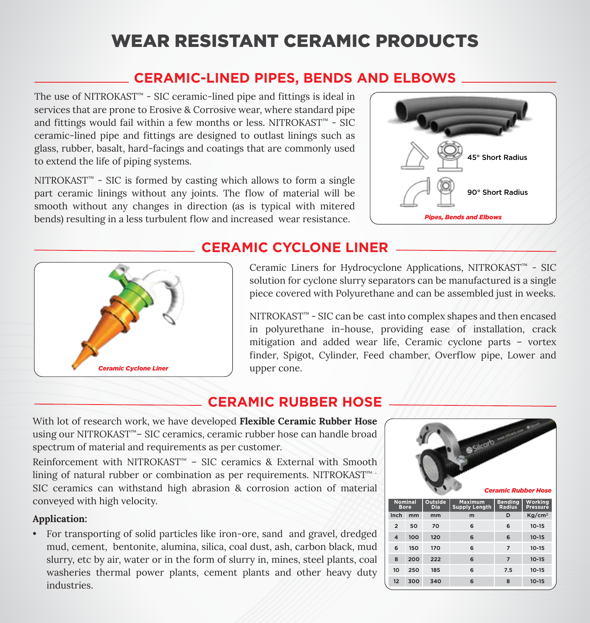# WEAR RESISTANT CERAMIC PRODUCTS

#### **CERAMIC-LINED PIPES, BENDS AND ELBOWS**

The use of NITROKAST™ - SIC ceramic-lined pipe and fittings is ideal in services that are prone to Erosive & Corrosive wear, where standard pipe and fittings would fail within a few months or less. NITROKAST™ - SIC ceramic-lined pipe and fittings are designed to outlast linings such as glass, rubber, basalt, hard-facings and coatings that are commonly used to extend the life of piping systems.

NITROKAST™ - SIC is formed by casting which allows to form a single part ceramic linings without any joints. The flow of material will be smooth without any changes in direction (as is typical with mitered bends) resulting in a less turbulent flow and increased wear resistance.





#### **CERAMIC CYCLONE LINER**

Ceramic Liners for Hydrocyclone Applications, NITROKAST™ - SIC solution for cyclone slurry separators can be manufactured is a single piece covered with Polyurethane and can be assembled just in weeks.

NITROKAST™ - SIC can be cast into complex shapes and then encased in polyurethane in-house, providing ease of installation, crack mitigation and added wear life, Ceramic cyclone parts – vortex finder, Spigot, Cylinder, Feed chamber, Overflow pipe, Lower and upper cone.

#### **CERAMIC RUBBER HOSE**

With lot of research work, we have developed **Flexible Ceramic Rubber Hose** using our NITROKAST™– SIC ceramics, ceramic rubber hose can handle broad spectrum of material and requirements as per customer.

Reinforcement with NITROKAST<sup>™</sup> – SIC ceramics & External with Smooth lining of natural rubber or combination as per requirements. NITROKAST™ - SIC ceramics can withstand high abrasion & corrosion action of material conveyed with high velocity.

#### **Application:**

• For transporting of solid particles like iron-ore, sand and gravel, dredged mud, cement, bentonite, alumina, silica, coal dust, ash, carbon black, mud slurry, etc by air, water or in the form of slurry in, mines, steel plants, coal washeries thermal power plants, cement plants and other heavy duty industries.

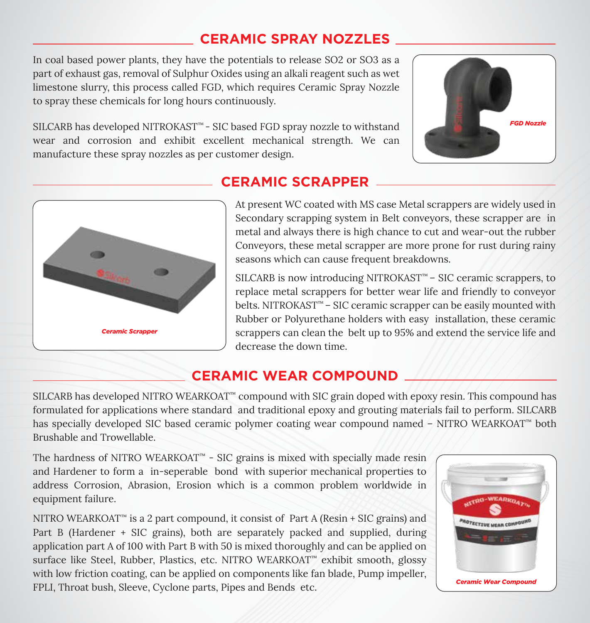## **CERAMIC SPRAY NOZZLES**

In coal based power plants, they have the potentials to release SO2 or SO3 as a part of exhaust gas, removal of Sulphur Oxides using an alkali reagent such as wet limestone slurry, this process called FGD, which requires Ceramic Spray Nozzle to spray these chemicals for long hours continuously.

SILCARB has developed NITROKAST™ - SIC based FGD spray nozzle to withstand wear and corrosion and exhibit excellent mechanical strength. We can manufacture these spray nozzles as per customer design.





#### **CERAMIC SCRAPPER**

At present WC coated with MS case Metal scrappers are widely used in Secondary scrapping system in Belt conveyors, these scrapper are in metal and always there is high chance to cut and wear-out the rubber Conveyors, these metal scrapper are more prone for rust during rainy seasons which can cause frequent breakdowns.

SILCARB is now introducing NITROKAST™ – SIC ceramic scrappers, to replace metal scrappers for better wear life and friendly to conveyor belts. NITROKAST™ - SIC ceramic scrapper can be easily mounted with Rubber or Polyurethane holders with easy installation, these ceramic scrappers can clean the belt up to 95% and extend the service life and decrease the down time.

## **CERAMIC WEAR COMPOUND**

SILCARB has developed NITRO WEARKOAT™ compound with SIC grain doped with epoxy resin. This compound has formulated for applications where standard and traditional epoxy and grouting materials fail to perform. SILCARB has specially developed SIC based ceramic polymer coating wear compound named – NITRO WEARKOAT™ both Brushable and Trowellable.

The hardness of NITRO WEARKOAT<sup> $<sub>m</sub>$ </sup> - SIC grains is mixed with specially made resin</sup></sub> and Hardener to form a in-seperable bond with superior mechanical properties to address Corrosion, Abrasion, Erosion which is a common problem worldwide in equipment failure.

NITRO WEARKOAT™ is a 2 part compound, it consist of Part A (Resin + SIC grains) and Part B (Hardener + SIC grains), both are separately packed and supplied, during application part A of 100 with Part B with 50 is mixed thoroughly and can be applied on surface like Steel, Rubber, Plastics, etc. NITRO WEARKOAT<sup>™</sup> exhibit smooth, glossy with low friction coating, can be applied on components like fan blade, Pump impeller, FPLI, Throat bush, Sleeve, Cyclone parts, Pipes and Bends etc.